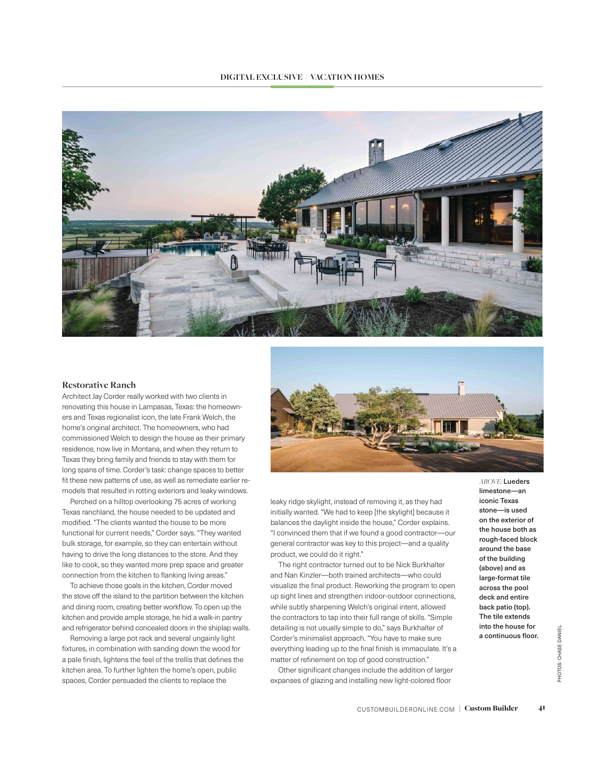## **DIGITAL EXCLUSIVE | VACATION HOMES**



## **Restorative Ranch**

Architect Jay Corder really worked with two clients in renovating this house in Lampasas, Texas: the homeowners and Texas regionalist icon, the late Frank Welch, the home's original architect. The homeowners, who had commissioned Welch to design the house as their primary residence, now live in Montana, and when they return to Texas they bring family and friends to stay with them for long spans of time. Corder's task: change spaces to better fit these new patterns of use, as well as remediate earlier remodels that resulted in rotting exteriors and leaky windows.

Perched on a hilltop overlooking 75 acres of working Texas ranchland, the house needed to be updated and modified. "The clients wanted the house to be more functional for current needs," Corder says. "They wanted bulk storage, for example, so they can entertain without having to drive the long distances to the store. And they like to cook, so they wanted more prep space and greater connection from the kitchen to flanking living areas."

To achieve those goals in the kitchen, Corder moved the stove off the island to the partition between the kitchen and dining room, creating better workflow. To open up the kitchen and provide ample storage, he hid a walk-in pantry and refrigerator behind concealed doors in the shiplap walls.

Removing a large pot rack and several ungainly light fixtures, in combination with sanding down the wood for a pale finish, lightens the feel of the trellis that defines the kitchen area. To further lighten the home's open, public spaces, Corder persuaded the clients to replace the



leaky ridge skylight, instead of removing it, as they had initially wanted. "We had to keep [the skylight] because it balances the daylight inside the house," Corder explains. "I convinced them that if we found a good contractor—our general contractor was key to this project—and a quality product, we could do it right."

The right contractor turned out to be Nick Burkhalter and Nan Kinzler—both trained architects—who could visualize the final product. Reworking the program to open up sight lines and strengthen indoor-outdoor connections, while subtly sharpening Welch's original intent, allowed the contractors to tap into their full range of skills. "Simple detailing is not usually simple to do," says Burkhalter of Corder's minimalist approach. "You have to make sure everything leading up to the final finish is immaculate. It's a matter of refinement on top of good construction."

Other significant changes include the addition of larger expanses of glazing and installing new light-colored floor

*ABOVE:* Lueders limestone—an iconic Texas stone—is used on the exterior of the house both as rough-faced block around the base of the building (above) and as large-format tile across the pool deck and entire back patio (top). The tile extends into the house for a continuous floor.